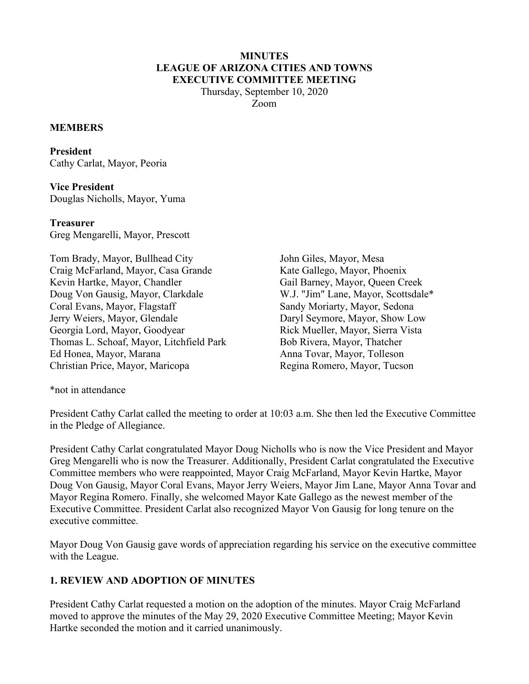#### **MINUTES LEAGUE OF ARIZONA CITIES AND TOWNS EXECUTIVE COMMITTEE MEETING**

Thursday, September 10, 2020 Zoom

#### **MEMBERS**

**President**  Cathy Carlat, Mayor, Peoria

**Vice President**  Douglas Nicholls, Mayor, Yuma

#### **Treasurer**

Greg Mengarelli, Mayor, Prescott

Tom Brady, Mayor, Bullhead City Craig McFarland, Mayor, Casa Grande Kevin Hartke, Mayor, Chandler Doug Von Gausig, Mayor, Clarkdale Coral Evans, Mayor, Flagstaff Jerry Weiers, Mayor, Glendale Georgia Lord, Mayor, Goodyear Thomas L. Schoaf, Mayor, Litchfield Park Ed Honea, Mayor, Marana Christian Price, Mayor, Maricopa

John Giles, Mayor, Mesa Kate Gallego, Mayor, Phoenix Gail Barney, Mayor, Queen Creek W.J. "Jim" Lane, Mayor, Scottsdale\* Sandy Moriarty, Mayor, Sedona Daryl Seymore, Mayor, Show Low Rick Mueller, Mayor, Sierra Vista Bob Rivera, Mayor, Thatcher Anna Tovar, Mayor, Tolleson Regina Romero, Mayor, Tucson

\*not in attendance

President Cathy Carlat called the meeting to order at 10:03 a.m. She then led the Executive Committee in the Pledge of Allegiance.

President Cathy Carlat congratulated Mayor Doug Nicholls who is now the Vice President and Mayor Greg Mengarelli who is now the Treasurer. Additionally, President Carlat congratulated the Executive Committee members who were reappointed, Mayor Craig McFarland, Mayor Kevin Hartke, Mayor Doug Von Gausig, Mayor Coral Evans, Mayor Jerry Weiers, Mayor Jim Lane, Mayor Anna Tovar and Mayor Regina Romero. Finally, she welcomed Mayor Kate Gallego as the newest member of the Executive Committee. President Carlat also recognized Mayor Von Gausig for long tenure on the executive committee.

Mayor Doug Von Gausig gave words of appreciation regarding his service on the executive committee with the League.

### **1. REVIEW AND ADOPTION OF MINUTES**

President Cathy Carlat requested a motion on the adoption of the minutes. Mayor Craig McFarland moved to approve the minutes of the May 29, 2020 Executive Committee Meeting; Mayor Kevin Hartke seconded the motion and it carried unanimously.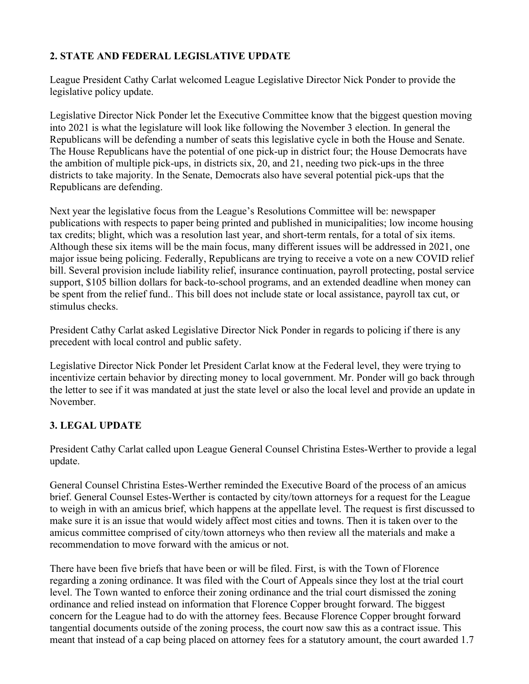## **2. STATE AND FEDERAL LEGISLATIVE UPDATE**

League President Cathy Carlat welcomed League Legislative Director Nick Ponder to provide the legislative policy update.

Legislative Director Nick Ponder let the Executive Committee know that the biggest question moving into 2021 is what the legislature will look like following the November 3 election. In general the Republicans will be defending a number of seats this legislative cycle in both the House and Senate. The House Republicans have the potential of one pick-up in district four; the House Democrats have the ambition of multiple pick-ups, in districts six, 20, and 21, needing two pick-ups in the three districts to take majority. In the Senate, Democrats also have several potential pick-ups that the Republicans are defending.

Next year the legislative focus from the League's Resolutions Committee will be: newspaper publications with respects to paper being printed and published in municipalities; low income housing tax credits; blight, which was a resolution last year, and short-term rentals, for a total of six items. Although these six items will be the main focus, many different issues will be addressed in 2021, one major issue being policing. Federally, Republicans are trying to receive a vote on a new COVID relief bill. Several provision include liability relief, insurance continuation, payroll protecting, postal service support, \$105 billion dollars for back-to-school programs, and an extended deadline when money can be spent from the relief fund.. This bill does not include state or local assistance, payroll tax cut, or stimulus checks.

President Cathy Carlat asked Legislative Director Nick Ponder in regards to policing if there is any precedent with local control and public safety.

Legislative Director Nick Ponder let President Carlat know at the Federal level, they were trying to incentivize certain behavior by directing money to local government. Mr. Ponder will go back through the letter to see if it was mandated at just the state level or also the local level and provide an update in November.

# **3. LEGAL UPDATE**

President Cathy Carlat called upon League General Counsel Christina Estes-Werther to provide a legal update.

General Counsel Christina Estes-Werther reminded the Executive Board of the process of an amicus brief. General Counsel Estes-Werther is contacted by city/town attorneys for a request for the League to weigh in with an amicus brief, which happens at the appellate level. The request is first discussed to make sure it is an issue that would widely affect most cities and towns. Then it is taken over to the amicus committee comprised of city/town attorneys who then review all the materials and make a recommendation to move forward with the amicus or not.

There have been five briefs that have been or will be filed. First, is with the Town of Florence regarding a zoning ordinance. It was filed with the Court of Appeals since they lost at the trial court level. The Town wanted to enforce their zoning ordinance and the trial court dismissed the zoning ordinance and relied instead on information that Florence Copper brought forward. The biggest concern for the League had to do with the attorney fees. Because Florence Copper brought forward tangential documents outside of the zoning process, the court now saw this as a contract issue. This meant that instead of a cap being placed on attorney fees for a statutory amount, the court awarded 1.7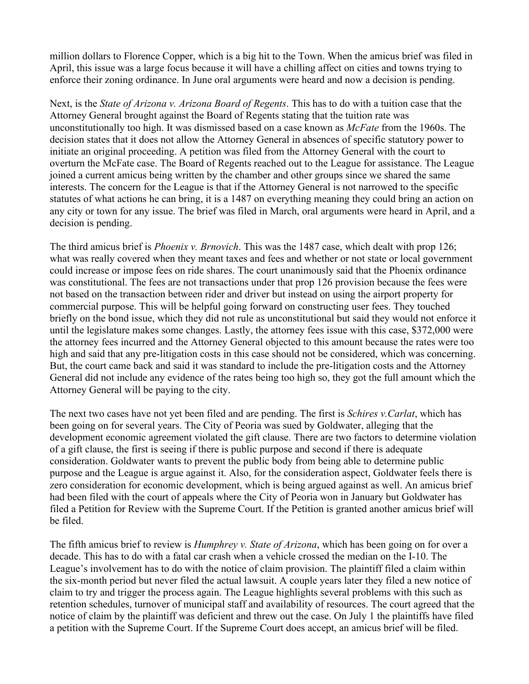million dollars to Florence Copper, which is a big hit to the Town. When the amicus brief was filed in April, this issue was a large focus because it will have a chilling affect on cities and towns trying to enforce their zoning ordinance. In June oral arguments were heard and now a decision is pending.

Next, is the *State of Arizona v. Arizona Board of Regents*. This has to do with a tuition case that the Attorney General brought against the Board of Regents stating that the tuition rate was unconstitutionally too high. It was dismissed based on a case known as *McFate* from the 1960s. The decision states that it does not allow the Attorney General in absences of specific statutory power to initiate an original proceeding. A petition was filed from the Attorney General with the court to overturn the McFate case. The Board of Regents reached out to the League for assistance. The League joined a current amicus being written by the chamber and other groups since we shared the same interests. The concern for the League is that if the Attorney General is not narrowed to the specific statutes of what actions he can bring, it is a 1487 on everything meaning they could bring an action on any city or town for any issue. The brief was filed in March, oral arguments were heard in April, and a decision is pending.

The third amicus brief is *Phoenix v. Brnovich*. This was the 1487 case, which dealt with prop 126; what was really covered when they meant taxes and fees and whether or not state or local government could increase or impose fees on ride shares. The court unanimously said that the Phoenix ordinance was constitutional. The fees are not transactions under that prop 126 provision because the fees were not based on the transaction between rider and driver but instead on using the airport property for commercial purpose. This will be helpful going forward on constructing user fees. They touched briefly on the bond issue, which they did not rule as unconstitutional but said they would not enforce it until the legislature makes some changes. Lastly, the attorney fees issue with this case, \$372,000 were the attorney fees incurred and the Attorney General objected to this amount because the rates were too high and said that any pre-litigation costs in this case should not be considered, which was concerning. But, the court came back and said it was standard to include the pre-litigation costs and the Attorney General did not include any evidence of the rates being too high so, they got the full amount which the Attorney General will be paying to the city.

The next two cases have not yet been filed and are pending. The first is *Schires v.Carlat*, which has been going on for several years. The City of Peoria was sued by Goldwater, alleging that the development economic agreement violated the gift clause. There are two factors to determine violation of a gift clause, the first is seeing if there is public purpose and second if there is adequate consideration. Goldwater wants to prevent the public body from being able to determine public purpose and the League is argue against it. Also, for the consideration aspect, Goldwater feels there is zero consideration for economic development, which is being argued against as well. An amicus brief had been filed with the court of appeals where the City of Peoria won in January but Goldwater has filed a Petition for Review with the Supreme Court. If the Petition is granted another amicus brief will be filed.

The fifth amicus brief to review is *Humphrey v. State of Arizona*, which has been going on for over a decade. This has to do with a fatal car crash when a vehicle crossed the median on the I-10. The League's involvement has to do with the notice of claim provision. The plaintiff filed a claim within the six-month period but never filed the actual lawsuit. A couple years later they filed a new notice of claim to try and trigger the process again. The League highlights several problems with this such as retention schedules, turnover of municipal staff and availability of resources. The court agreed that the notice of claim by the plaintiff was deficient and threw out the case. On July 1 the plaintiffs have filed a petition with the Supreme Court. If the Supreme Court does accept, an amicus brief will be filed.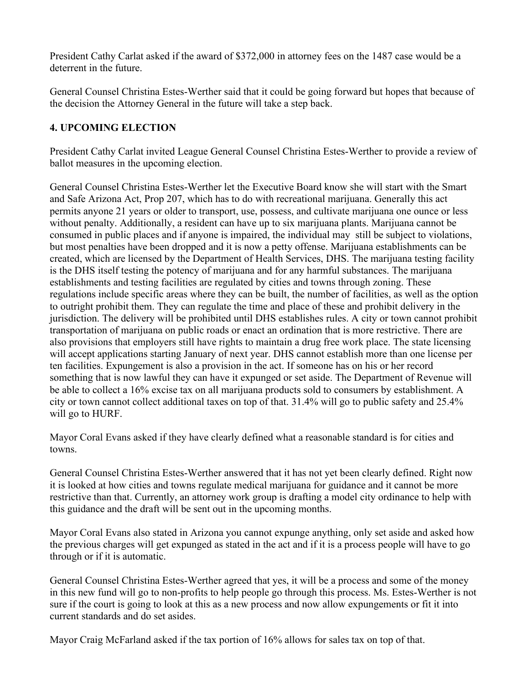President Cathy Carlat asked if the award of \$372,000 in attorney fees on the 1487 case would be a deterrent in the future.

General Counsel Christina Estes-Werther said that it could be going forward but hopes that because of the decision the Attorney General in the future will take a step back.

### **4. UPCOMING ELECTION**

President Cathy Carlat invited League General Counsel Christina Estes-Werther to provide a review of ballot measures in the upcoming election.

General Counsel Christina Estes-Werther let the Executive Board know she will start with the Smart and Safe Arizona Act, Prop 207, which has to do with recreational marijuana. Generally this act permits anyone 21 years or older to transport, use, possess, and cultivate marijuana one ounce or less without penalty. Additionally, a resident can have up to six marijuana plants. Marijuana cannot be consumed in public places and if anyone is impaired, the individual may still be subject to violations, but most penalties have been dropped and it is now a petty offense. Marijuana establishments can be created, which are licensed by the Department of Health Services, DHS. The marijuana testing facility is the DHS itself testing the potency of marijuana and for any harmful substances. The marijuana establishments and testing facilities are regulated by cities and towns through zoning. These regulations include specific areas where they can be built, the number of facilities, as well as the option to outright prohibit them. They can regulate the time and place of these and prohibit delivery in the jurisdiction. The delivery will be prohibited until DHS establishes rules. A city or town cannot prohibit transportation of marijuana on public roads or enact an ordination that is more restrictive. There are also provisions that employers still have rights to maintain a drug free work place. The state licensing will accept applications starting January of next year. DHS cannot establish more than one license per ten facilities. Expungement is also a provision in the act. If someone has on his or her record something that is now lawful they can have it expunged or set aside. The Department of Revenue will be able to collect a 16% excise tax on all marijuana products sold to consumers by establishment. A city or town cannot collect additional taxes on top of that. 31.4% will go to public safety and 25.4% will go to HURF.

Mayor Coral Evans asked if they have clearly defined what a reasonable standard is for cities and towns.

General Counsel Christina Estes-Werther answered that it has not yet been clearly defined. Right now it is looked at how cities and towns regulate medical marijuana for guidance and it cannot be more restrictive than that. Currently, an attorney work group is drafting a model city ordinance to help with this guidance and the draft will be sent out in the upcoming months.

Mayor Coral Evans also stated in Arizona you cannot expunge anything, only set aside and asked how the previous charges will get expunged as stated in the act and if it is a process people will have to go through or if it is automatic.

General Counsel Christina Estes-Werther agreed that yes, it will be a process and some of the money in this new fund will go to non-profits to help people go through this process. Ms. Estes-Werther is not sure if the court is going to look at this as a new process and now allow expungements or fit it into current standards and do set asides.

Mayor Craig McFarland asked if the tax portion of 16% allows for sales tax on top of that.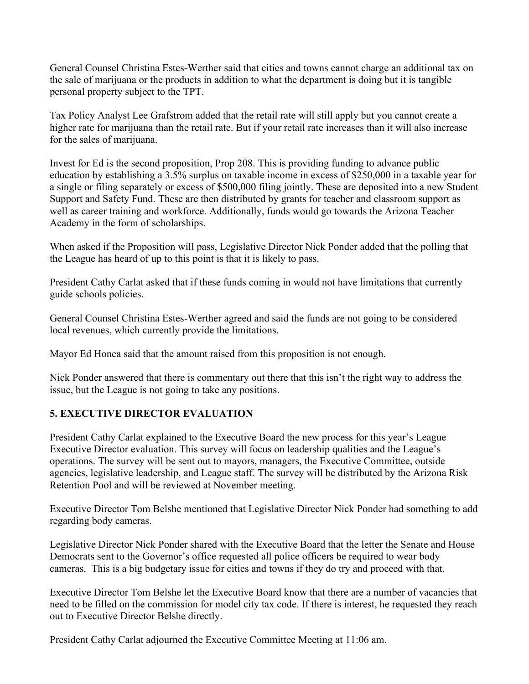General Counsel Christina Estes-Werther said that cities and towns cannot charge an additional tax on the sale of marijuana or the products in addition to what the department is doing but it is tangible personal property subject to the TPT.

Tax Policy Analyst Lee Grafstrom added that the retail rate will still apply but you cannot create a higher rate for marijuana than the retail rate. But if your retail rate increases than it will also increase for the sales of marijuana.

Invest for Ed is the second proposition, Prop 208. This is providing funding to advance public education by establishing a 3.5% surplus on taxable income in excess of \$250,000 in a taxable year for a single or filing separately or excess of \$500,000 filing jointly. These are deposited into a new Student Support and Safety Fund. These are then distributed by grants for teacher and classroom support as well as career training and workforce. Additionally, funds would go towards the Arizona Teacher Academy in the form of scholarships.

When asked if the Proposition will pass, Legislative Director Nick Ponder added that the polling that the League has heard of up to this point is that it is likely to pass.

President Cathy Carlat asked that if these funds coming in would not have limitations that currently guide schools policies.

General Counsel Christina Estes-Werther agreed and said the funds are not going to be considered local revenues, which currently provide the limitations.

Mayor Ed Honea said that the amount raised from this proposition is not enough.

Nick Ponder answered that there is commentary out there that this isn't the right way to address the issue, but the League is not going to take any positions.

## **5. EXECUTIVE DIRECTOR EVALUATION**

President Cathy Carlat explained to the Executive Board the new process for this year's League Executive Director evaluation. This survey will focus on leadership qualities and the League's operations. The survey will be sent out to mayors, managers, the Executive Committee, outside agencies, legislative leadership, and League staff. The survey will be distributed by the Arizona Risk Retention Pool and will be reviewed at November meeting.

Executive Director Tom Belshe mentioned that Legislative Director Nick Ponder had something to add regarding body cameras.

Legislative Director Nick Ponder shared with the Executive Board that the letter the Senate and House Democrats sent to the Governor's office requested all police officers be required to wear body cameras. This is a big budgetary issue for cities and towns if they do try and proceed with that.

Executive Director Tom Belshe let the Executive Board know that there are a number of vacancies that need to be filled on the commission for model city tax code. If there is interest, he requested they reach out to Executive Director Belshe directly.

President Cathy Carlat adjourned the Executive Committee Meeting at 11:06 am.